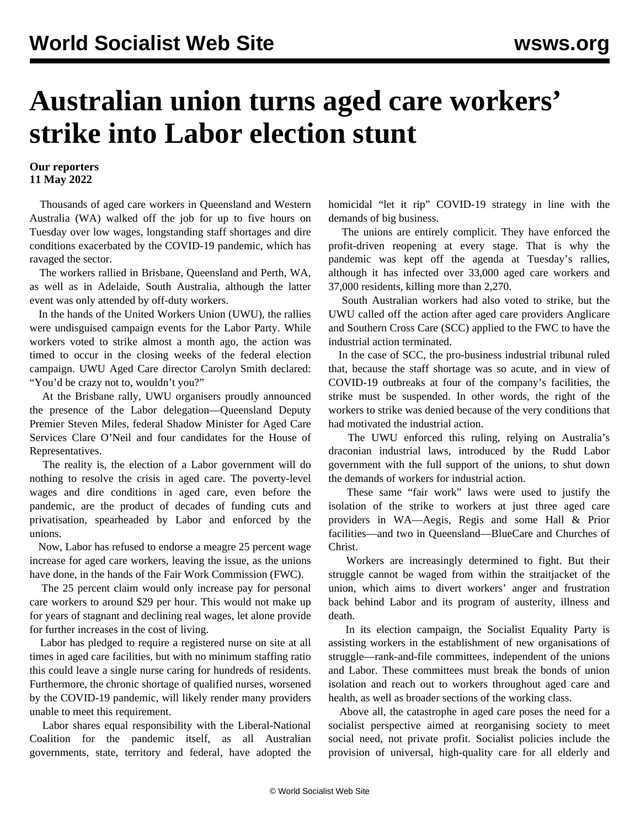## **Australian union turns aged care workers' strike into Labor election stunt**

## **Our reporters 11 May 2022**

 Thousands of aged care workers in Queensland and Western Australia (WA) walked off the job for up to five hours on Tuesday over low wages, longstanding staff shortages and dire conditions exacerbated by the COVID-19 pandemic, which has ravaged the sector.

 The workers rallied in Brisbane, Queensland and Perth, WA, as well as in Adelaide, South Australia, although the latter event was only attended by off-duty workers.

 In the hands of the United Workers Union (UWU), the rallies were undisguised campaign events for the Labor Party. While workers voted to strike almost a month ago, the action was timed to occur in the closing weeks of the federal election campaign. UWU Aged Care director Carolyn Smith declared: "You'd be crazy not to, wouldn't you?"

 At the Brisbane rally, UWU organisers proudly announced the presence of the Labor delegation—Queensland Deputy Premier Steven Miles, federal Shadow Minister for Aged Care Services Clare O'Neil and four candidates for the House of Representatives.

 The reality is, the election of a Labor government will do nothing to resolve the crisis in aged care. The poverty-level wages and dire conditions in aged care, even before the pandemic, are the product of decades of funding cuts and privatisation, spearheaded by Labor and enforced by the unions.

 Now, Labor has refused to endorse a meagre 25 percent wage increase for aged care workers, leaving the issue, as the unions have done, in the hands of the Fair Work Commission (FWC).

 The 25 percent claim would only increase pay for personal care workers to around \$29 per hour. This would not make up for years of stagnant and declining real wages, let alone provide for further increases in the cost of living.

 Labor has pledged to require a registered nurse on site at all times in aged care facilities, but with no minimum staffing ratio this could leave a single nurse caring for hundreds of residents. Furthermore, the chronic shortage of qualified nurses, worsened by the COVID-19 pandemic, will likely render many providers unable to meet this requirement.

 Labor shares equal responsibility with the Liberal-National Coalition for the pandemic itself, as all Australian governments, state, territory and federal, have adopted the homicidal "let it rip" COVID-19 strategy in line with the demands of big business.

 The unions are entirely complicit. They have enforced the profit-driven reopening at every stage. That is why the pandemic was kept off the agenda at Tuesday's rallies, although it has infected over 33,000 aged care workers and 37,000 residents, killing more than 2,270.

 South Australian workers had also voted to strike, but the UWU called off the action after aged care providers Anglicare and Southern Cross Care (SCC) applied to the FWC to have the industrial action terminated.

 In the case of SCC, the pro-business industrial tribunal ruled that, because the staff shortage was so acute, and in view of COVID-19 outbreaks at four of the company's facilities, the strike must be suspended. In other words, the right of the workers to strike was denied because of the very conditions that had motivated the industrial action.

 The UWU enforced this ruling, relying on Australia's draconian industrial laws, introduced by the Rudd Labor government with the full support of the unions, to shut down the demands of workers for industrial action.

 These same "fair work" laws were used to justify the isolation of the strike to workers at just three aged care providers in WA—Aegis, Regis and some Hall & Prior facilities—and two in Queensland—BlueCare and Churches of Christ.

 Workers are increasingly determined to fight. But their struggle cannot be waged from within the straitjacket of the union, which aims to divert workers' anger and frustration back behind Labor and its program of austerity, illness and death.

 In its election campaign, the Socialist Equality Party is assisting workers in the establishment of new organisations of struggle—rank-and-file committees, independent of the unions and Labor. These committees must break the bonds of union isolation and reach out to workers throughout aged care and health, as well as broader sections of the working class.

 Above all, the catastrophe in aged care poses the need for a socialist perspective aimed at reorganising society to meet social need, not private profit. Socialist policies include the provision of universal, high-quality care for all elderly and